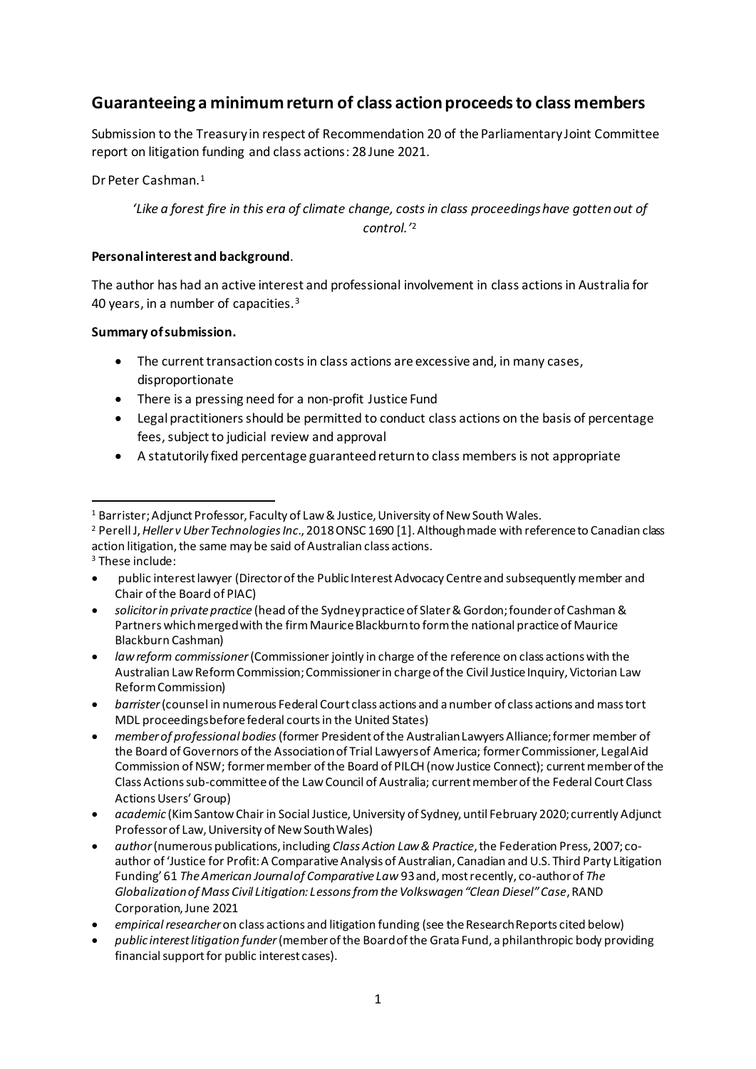# **Guaranteeing a minimum return of class action proceeds to class members**

Submission to the Treasury in respect of Recommendation 20 of the Parliamentary Joint Committee report on litigation funding and class actions: 28 June 2021.

Dr Peter Cashman.<sup>1</sup>

# *'Like a forest fire in this era of climate change, costs in class proceedings have gotten out of control.'*<sup>2</sup>

#### **Personal interest and background**.

The author has had an active interest and professional involvement in class actions in Australia for 40 years, in a number of capacities.<sup>3</sup>

#### **Summary of submission.**

- The current transaction costs in class actions are excessive and, in many cases, disproportionate
- There is a pressing need for a non-profit Justice Fund
- Legal practitioners should be permitted to conduct class actions on the basis of percentage fees, subject to judicial review and approval
- A statutorily fixed percentage guaranteed return to class members is not appropriate

- <sup>3</sup> These include:
- public interest lawyer (Director of the Public Interest Advocacy Centre and subsequently member and Chair of the Board of PIAC)
- *solicitor in private practice* (head of the Sydney practice of Slater & Gordon; founder of Cashman & Partners which merged with the firm Maurice Blackburn to form the national practice of Maurice Blackburn Cashman)
- *law reform commissioner*(Commissioner jointly in charge of the reference on class actions with the Australian Law Reform Commission; Commissioner in charge of the Civil Justice Inquiry, Victorian Law Reform Commission)
- *barrister*(counsel in numerous Federal Court class actions and a number of class actions and mass tort MDL proceedings before federal courts in the United States)
- *member of professional bodies* (former President of the Australian Lawyers Alliance; former member of the Board of Governors of the Association of Trial Lawyers of America; former Commissioner, Legal Aid Commission of NSW; former member of the Board of PILCH (now Justice Connect); current member of the Class Actions sub-committee of the Law Council of Australia; current member of the Federal Court Class Actions Users' Group)
- *academic* (Kim Santow Chair in Social Justice, University of Sydney, until February 2020; currently Adjunct Professor of Law, University of New South Wales)
- *author*(numerous publications, including *Class Action Law & Practice*, the Federation Press, 2007; coauthor of 'Justice for Profit: A Comparative Analysis of Australian, Canadian and U.S. Third Party Litigation Funding' 61 *The American Journal of Comparative Law* 93 and, most recently, co-author of *The Globalization of Mass Civil Litigation: Lessons from the Volkswagen "Clean Diesel" Case*, RAND Corporation, June 2021
- *empirical researcher* on class actions and litigation funding (see the Research Reports cited below)
- *public interest litigation funder*(member of the Board of the Grata Fund, a philanthropic body providing financial support for public interest cases).

<sup>1</sup> Barrister; Adjunct Professor, Faculty of Law & Justice, University of New South Wales.

<sup>2</sup> Perell J, *Heller v Uber Technologies Inc*., 2018 ONSC 1690 [1]. Although made with reference to Canadian class action litigation, the same may be said of Australian class actions.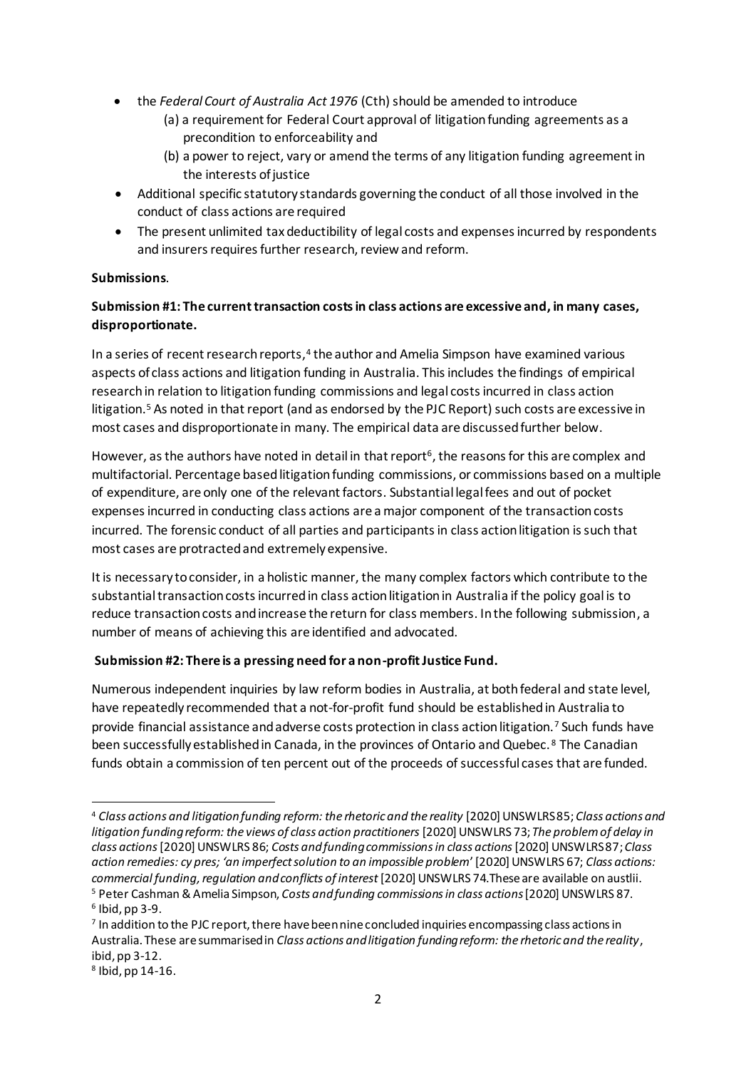- the *Federal Court of Australia Act 1976* (Cth) should be amended to introduce
	- (a) a requirement for Federal Court approval of litigation funding agreements as a precondition to enforceability and
	- (b) a power to reject, vary or amend the terms of any litigation funding agreement in the interests of justice
- Additional specific statutory standards governing the conduct of all those involved in the conduct of class actions are required
- The present unlimited tax deductibility of legal costs and expenses incurred by respondents and insurers requires further research, review and reform.

## **Submissions**.

# **Submission #1: The current transaction costs in class actions are excessive and, in many cases, disproportionate.**

In a series of recent research reports,<sup>4</sup> the author and Amelia Simpson have examined various aspects of class actions and litigation funding in Australia. This includes the findings of empirical research in relation to litigation funding commissions and legal costs incurred in class action litigation. <sup>5</sup> As noted in that report (and as endorsed by the PJC Report) such costs are excessive in most cases and disproportionate in many. The empirical data are discussed further below.

However, as the authors have noted in detail in that report<sup>6</sup>, the reasons for this are complex and multifactorial. Percentage based litigation funding commissions, or commissions based on a multiple of expenditure, are only one of the relevant factors. Substantial legal fees and out of pocket expenses incurred in conducting class actions are a major component of the transaction costs incurred. The forensic conduct of all parties and participants in class action litigation is such that most cases are protracted and extremely expensive.

It is necessary to consider, in a holistic manner, the many complex factors which contribute to the substantial transaction costs incurred in class action litigation in Australia if the policy goal is to reduce transaction costs and increase the return for class members. In the following submission, a number of means of achieving this are identified and advocated.

#### **Submission #2: There is a pressing need for a non-profit Justice Fund.**

Numerous independent inquiries by law reform bodies in Australia, at both federal and state level, have repeatedly recommended that a not-for-profit fund should be established in Australia to provide financial assistance and adverse costs protection in class action litigation.<sup>7</sup> Such funds have been successfully established in Canada, in the provinces of Ontario and Quebec. <sup>8</sup> The Canadian funds obtain a commission of ten percent out of the proceeds of successful cases that are funded.

<sup>4</sup> *Class actions and litigation funding reform: the rhetoric and the reality* [2020] UNSWLRS 85; *Class actions and litigation funding reform: the views of class action practitioners* [2020] UNSWLRS 73; *The problem of delay in class actions*[2020] UNSWLRS 86; *Costs and funding commissions in class actions*[2020] UNSWLRS 87; *Class action remedies: cy pres; 'an imperfect solution to an impossible problem*'[2020] UNSWLRS 67; *Class actions: commercial funding, regulation and conflicts of interest* [2020] UNSWLRS 74.These are available on austlii. <sup>5</sup> Peter Cashman & Amelia Simpson, *Costs and funding commissions in class actions* [2020] UNSWLRS 87. 6 Ibid, pp 3-9.

<sup>7</sup> In addition to the PJC report, there have been nine concluded inquiries encompassing class actions in Australia. These are summarised in *Class actions and litigation funding reform: the rhetoric and the reality*, ibid, pp 3-12.

<sup>8</sup> Ibid, pp 14-16.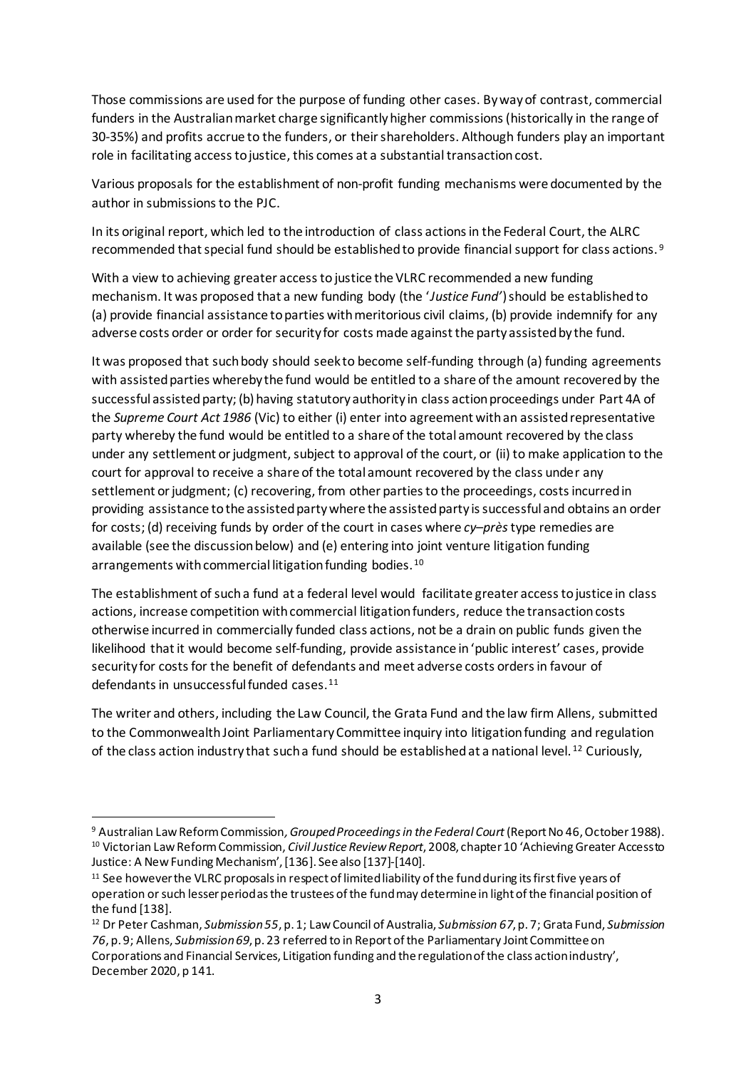Those commissions are used for the purpose of funding other cases. By way of contrast, commercial funders in the Australian market charge significantly higher commissions (historically in the range of 30-35%) and profits accrue to the funders, or their shareholders. Although funders play an important role in facilitating access to justice, this comes at a substantial transaction cost.

Various proposals for the establishment of non-profit funding mechanisms were documented by the author in submissions to the PJC.

In its original report, which led to the introduction of class actions in the Federal Court, the ALRC recommended that special fund should be established to provide financial support for class actions. <sup>9</sup>

With a view to achieving greater access to justice the VLRC recommended a new funding mechanism. It was proposed that a new funding body (the '*Justice Fund'*) should be established to (a) provide financial assistance to parties with meritorious civil claims, (b) provide indemnify for any adverse costs order or order for security for costs made against the party assisted by the fund.

It was proposed that such body should seek to become self-funding through (a) funding agreements with assisted parties whereby the fund would be entitled to a share of the amount recovered by the successful assisted party; (b) having statutory authority in class action proceedings under Part 4A of the *Supreme Court Act 1986* (Vic) to either (i) enter into agreement with an assisted representative party whereby the fund would be entitled to a share of the total amount recovered by the class under any settlement or judgment, subject to approval of the court, or (ii) to make application to the court for approval to receive a share of the total amount recovered by the class under any settlement or judgment; (c) recovering, from other parties to the proceedings, costs incurred in providing assistance to the assisted party where the assisted party is successful and obtains an order for costs; (d) receiving funds by order of the court in cases where *cy–près*type remedies are available (see the discussion below) and (e) entering into joint venture litigation funding arrangements with commercial litigation funding bodies.<sup>10</sup>

The establishment of such a fund at a federal level would facilitate greater access to justice in class actions, increase competition with commercial litigation funders, reduce the transaction costs otherwise incurred in commercially funded class actions, not be a drain on public funds given the likelihood that it would become self-funding, provide assistance in 'public interest' cases, provide security for costs for the benefit of defendants and meet adverse costs orders in favour of defendants in unsuccessful funded cases.<sup>11</sup>

The writer and others, including the Law Council, the Grata Fund and the law firm Allens, submitted to the Commonwealth Joint Parliamentary Committee inquiry into litigation funding and regulation of the class action industry that such a fund should be established at a national level. <sup>12</sup> Curiously,

<sup>9</sup> Australian Law Reform Commission*, Grouped Proceedings in the Federal Court* (Report No 46, October 1988). <sup>10</sup> Victorian Law Reform Commission, *Civil Justice Review Report*, 2008, chapter 10 'Achieving Greater Access to Justice: A New Funding Mechanism', [136]. See also [137]-[140].

<sup>11</sup> See however the VLRC proposals in respect of limited liability of the fund during its first five years of operation or such lesser period as the trustees of the fund may determine in light of the financial position of the fund [138].

<sup>12</sup> Dr Peter Cashman, *Submission 55*, p. 1; Law Council of Australia, *Submission 67*, p. 7; Grata Fund, *Submission 76*, p. 9; Allens, *Submission 69*, p. 23 referred to in Report of the Parliamentary Joint Committee on Corporations and Financial Services, Litigation funding and the regulation of the class action industry', December 2020, p 141.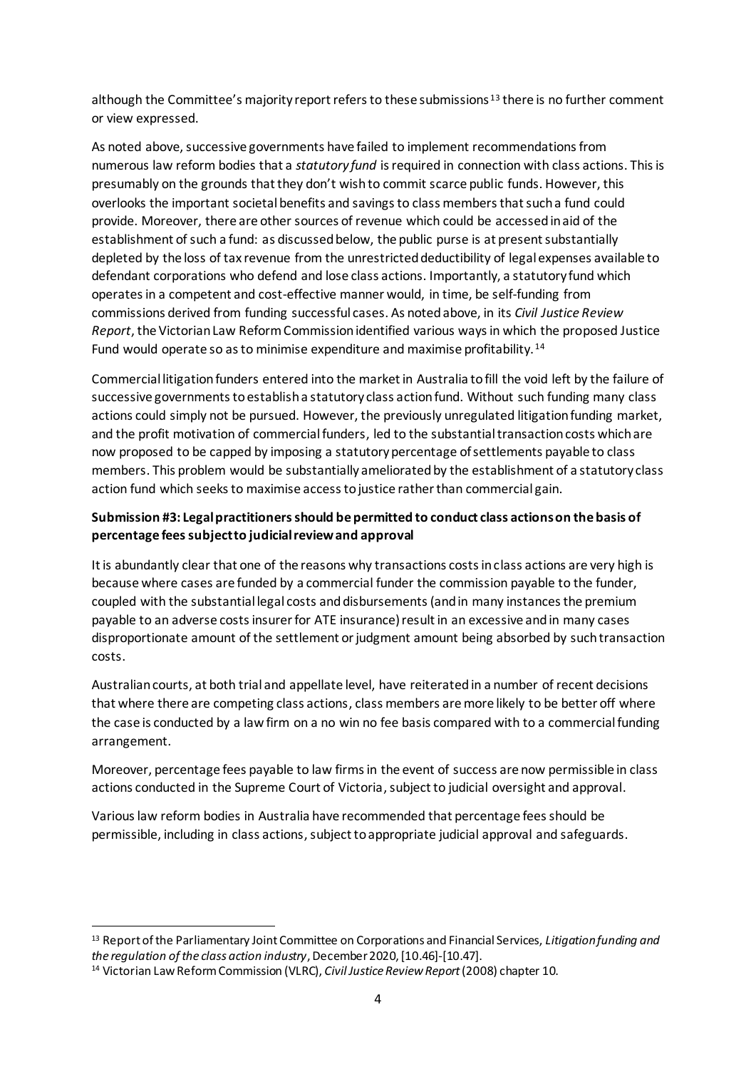although the Committee's majority report refers to these submissions  $13$  there is no further comment or view expressed.

As noted above, successive governments have failed to implement recommendations from numerous law reform bodies that a *statutory fund* is required in connection with class actions. This is presumably on the grounds that they don't wish to commit scarce public funds. However, this overlooks the important societal benefits and savings to class members that such a fund could provide. Moreover, there are other sources of revenue which could be accessed in aid of the establishment of such a fund: as discussed below, the public purse is at present substantially depleted by the loss of tax revenue from the unrestricted deductibility of legal expenses available to defendant corporations who defend and lose class actions. Importantly, a statutory fund which operates in a competent and cost-effective manner would, in time, be self-funding from commissions derived from funding successful cases. As noted above, in its *Civil Justice Review Report*, the Victorian Law Reform Commission identified various ways in which the proposed Justice Fund would operate so as to minimise expenditure and maximise profitability. <sup>14</sup>

Commercial litigation funders entered into the market in Australia to fill the void left by the failure of successive governments to establisha statutory class action fund. Without such funding many class actions could simply not be pursued. However, the previously unregulated litigation funding market, and the profit motivation of commercial funders, led to the substantial transaction costs which are now proposed to be capped by imposing a statutory percentage of settlements payable to class members. This problem would be substantially ameliorated by the establishment of a statutory class action fund which seeks to maximise access to justice rather than commercial gain.

## **Submission #3: Legal practitioners should be permitted to conduct class actions on the basis of percentage feessubject to judicial review and approval**

It is abundantly clear that one of the reasons why transactions costs in class actions are very high is because where cases are funded by a commercial funder the commission payable to the funder, coupled with the substantial legal costs and disbursements (and in many instances the premium payable to an adverse costs insurer for ATE insurance) result in an excessive and in many cases disproportionate amount of the settlement or judgment amount being absorbed by such transaction costs.

Australian courts, at both trial and appellate level, have reiterated in a number of recent decisions that where there are competing class actions, class members are more likely to be better off where the case is conducted by a law firm on a no win no fee basis compared with to a commercial funding arrangement.

Moreover, percentage fees payable to law firms in the event of success are now permissible in class actions conducted in the Supreme Court of Victoria, subject to judicial oversight and approval.

Various law reform bodies in Australia have recommended that percentage fees should be permissible, including in class actions, subject to appropriate judicial approval and safeguards.

<sup>13</sup> Report of the Parliamentary Joint Committee on Corporations and Financial Services, *Litigation funding and the regulation of the class action industry*, December 2020,[10.46]-[10.47].

<sup>14</sup> Victorian Law Reform Commission (VLRC), *Civil Justice Review Report* (2008) chapter 10.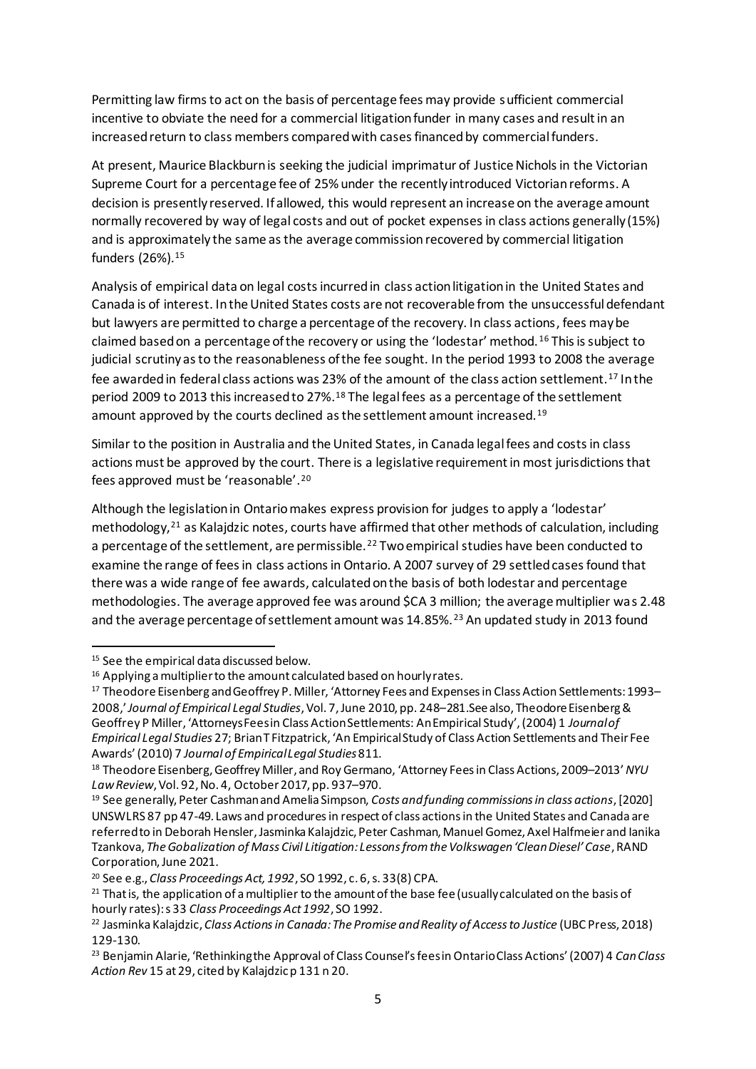Permitting law firms to act on the basis of percentage fees may provide sufficient commercial incentive to obviate the need for a commercial litigation funder in many cases and result in an increased return to class members compared with cases financed by commercial funders.

At present, Maurice Blackburn is seeking the judicial imprimatur of Justice Nichols in the Victorian Supreme Court for a percentage fee of 25% under the recently introduced Victorian reforms. A decision is presently reserved. If allowed, this would represent an increase on the average amount normally recovered by way of legal costs and out of pocket expenses in class actions generally (15%) and is approximately the same as the average commission recovered by commercial litigation funders (26%).<sup>15</sup>

Analysis of empirical data on legal costs incurred in class action litigation in the United States and Canada is of interest. In the United States costs are not recoverable from the unsuccessful defendant but lawyers are permitted to charge a percentage of the recovery. In class actions, fees may be claimed based on a percentage of the recovery or using the 'lodestar' method. <sup>16</sup> This is subject to judicial scrutiny as to the reasonableness of the fee sought. In the period 1993 to 2008 the average fee awarded in federal class actions was 23% of the amount of the class action settlement.<sup>17</sup> In the period 2009 to 2013 this increased to 27%. <sup>18</sup> The legal fees as a percentage of the settlement amount approved by the courts declined as the settlement amount increased.<sup>19</sup>

Similar to the position in Australia and the United States, in Canada legal fees and costs in class actions must be approved by the court. There is a legislative requirement in most jurisdictions that fees approved must be 'reasonable'.<sup>20</sup>

Although the legislation in Ontario makes express provision for judges to apply a 'lodestar' methodology,<sup>21</sup> as Kalajdzic notes, courts have affirmed that other methods of calculation, including a percentage of the settlement, are permissible.<sup>22</sup> Two empirical studies have been conducted to examine the range of fees in class actions in Ontario. A 2007 survey of 29 settled cases found that there was a wide range of fee awards, calculated on the basis of both lodestar and percentage methodologies. The average approved fee was around \$CA 3 million; the average multiplier was 2.48 and the average percentage of settlement amount was 14.85%.<sup>23</sup> An updated study in 2013 found

<sup>&</sup>lt;sup>15</sup> See the empirical data discussed below.

<sup>&</sup>lt;sup>16</sup> Applying a multiplier to the amount calculated based on hourly rates.

<sup>17</sup> Theodore Eisenberg and Geoffrey P. Miller, 'Attorney Fees and Expenses in Class Action Settlements: 1993– 2008,'*Journal of Empirical Legal Studies*, Vol. 7, June 2010, pp. 248–281.See also, Theodore Eisenberg & Geoffrey P Miller, 'Attorneys Fees in Class Action Settlements: An Empirical Study', (2004) 1 *Journal of Empirical Legal Studies* 27; Brian T Fitzpatrick, 'An Empirical Study of Class Action Settlements and Their Fee Awards' (2010) 7 *Journal of Empirical Legal Studies* 811.

<sup>18</sup> Theodore Eisenberg, Geoffrey Miller, and Roy Germano, 'Attorney Fees in Class Actions, 2009–2013'*NYU Law Review*, Vol. 92, No. 4, October 2017, pp. 937–970.

<sup>19</sup> See generally, Peter Cashman and Amelia Simpson, *Costs and funding commissions in class actions*, [2020] UNSWLRS 87 pp 47-49. Laws and proceduresin respect of class actions in the United States and Canada are referred to in Deborah Hensler, Jasminka Kalajdzic, Peter Cashman, Manuel Gomez, Axel Halfmeier and Ianika Tzankova, *The Gobalization of Mass Civil Litigation: Lessons from the Volkswagen 'Clean Diesel' Case*, RAND Corporation, June 2021.

<sup>20</sup> See e.g., *Class Proceedings Act, 1992*, SO 1992, c. 6, s. 33(8) CPA.

<sup>&</sup>lt;sup>21</sup> That is, the application of a multiplier to the amount of the base fee (usually calculated on the basis of hourly rates): s 33 *Class Proceedings Act 1992*, SO 1992.

<sup>22</sup> Jasminka Kalajdzic, *Class Actions in Canada: The Promise and Reality of Access to Justice* (UBC Press, 2018) 129-130.

<sup>23</sup> Benjamin Alarie, 'Rethinking the Approval of Class Counsel's fees in Ontario Class Actions' (2007) 4 *Can Class Action Rev* 15 at 29, cited by Kalajdzicp 131 n 20.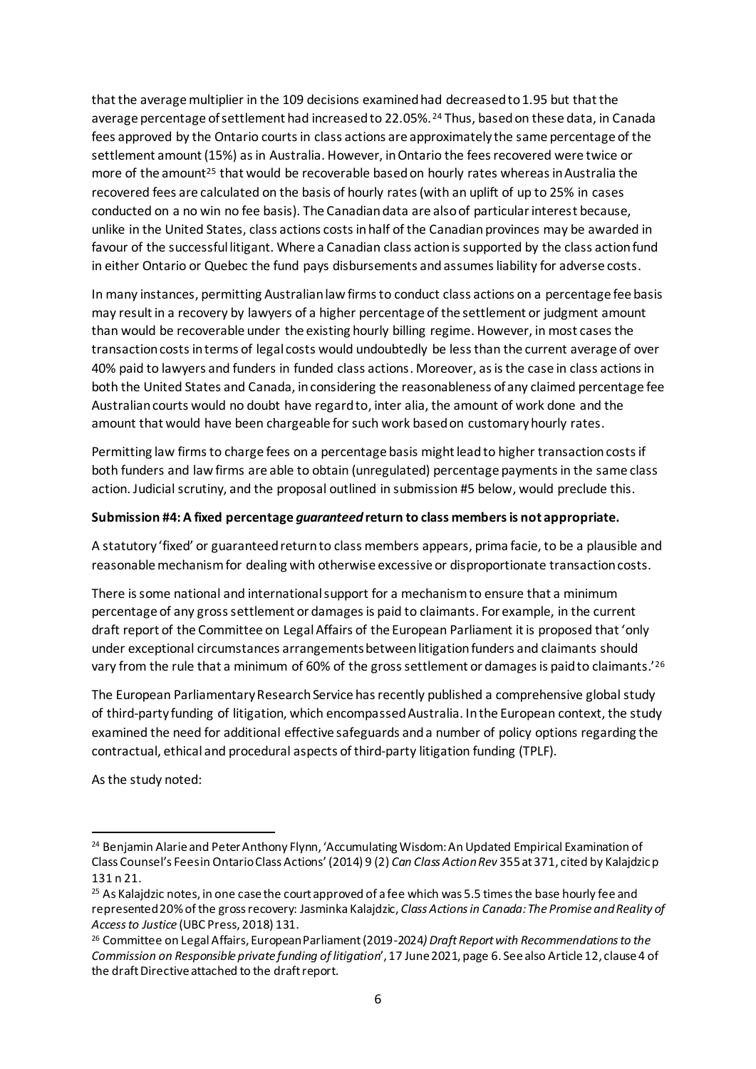that the average multiplier in the 109 decisions examined had decreased to 1.95 but that the average percentage of settlement had increased to 22.05%. <sup>24</sup> Thus, based on these data, in Canada fees approved by the Ontario courts in class actions are approximately the same percentage of the settlement amount (15%) as in Australia. However, in Ontario the fees recovered were twice or more of the amount<sup>25</sup> that would be recoverable based on hourly rates whereas in Australia the recovered fees are calculated on the basis of hourly rates (with an uplift of up to 25% in cases conducted on a no win no fee basis). The Canadian data are also of particular interest because, unlike in the United States, class actions costs in half of the Canadian provinces may be awarded in favour of the successful litigant. Where a Canadian class action is supported by the class action fund in either Ontario or Quebec the fund pays disbursements and assumes liability for adverse costs.

In many instances, permitting Australian law firms to conduct class actions on a percentage fee basis may result in a recovery by lawyers of a higher percentage of the settlement or judgment amount than would be recoverable under the existing hourly billing regime. However, in most cases the transaction costs in terms of legal costs would undoubtedly be less than the current average of over 40% paid to lawyers and funders in funded class actions. Moreover, as is the case in class actions in both the United States and Canada, inconsidering the reasonableness of any claimed percentage fee Australian courts would no doubt have regard to, inter alia, the amount of work done and the amount that would have been chargeable for such work based on customary hourly rates.

Permitting law firms to charge fees on a percentage basis might lead to higher transaction costs if both funders and law firms are able to obtain (unregulated) percentage payments in the same class action. Judicial scrutiny, and the proposal outlined in submission #5 below, would preclude this.

#### **Submission #4: A fixed percentage** *guaranteed* **return to class members is not appropriate.**

A statutory 'fixed' or guaranteed return to class members appears, prima facie, to be a plausible and reasonable mechanism for dealing with otherwise excessive or disproportionate transaction costs.

There is some national and international support for a mechanism to ensure that a minimum percentage of any gross settlement or damages is paid to claimants. For example, in the current draft report of the Committee on Legal Affairs of the European Parliament it is proposed that 'only under exceptional circumstances arrangements between litigation funders and claimants should vary from the rule that a minimum of 60% of the gross settlement or damages is paid to claimants.'<sup>26</sup>

The European Parliamentary Research Service has recently published a comprehensive global study of third-party funding of litigation, which encompassed Australia. In the European context, the study examined the need for additional effective safeguards and a number of policy options regarding the contractual, ethical and procedural aspects of third-party litigation funding (TPLF).

As the study noted:

<sup>&</sup>lt;sup>24</sup> Benjamin Alarie and Peter Anthony Flynn, 'Accumulating Wisdom: An Updated Empirical Examination of Class Counsel's Fees in Ontario Class Actions' (2014) 9 (2) *Can Class Action Rev* 355 at 371, cited by Kalajdzic p 131 n 21.

<sup>&</sup>lt;sup>25</sup> As Kalajdzic notes, in one case the court approved of a fee which was 5.5 times the base hourly fee and represented 20% of the gross recovery: Jasminka Kalajdzic, *Class Actions in Canada: The Promise and Reality of Access to Justice* (UBC Press, 2018) 131.

<sup>26</sup> Committee on Legal Affairs, European Parliament (2019-2024*) Draft Report with Recommendations to the Commission on Responsible private funding of litigation*', 17 June 2021, page 6. See also Article 12, clause 4 of the draft Directive attached to the draft report.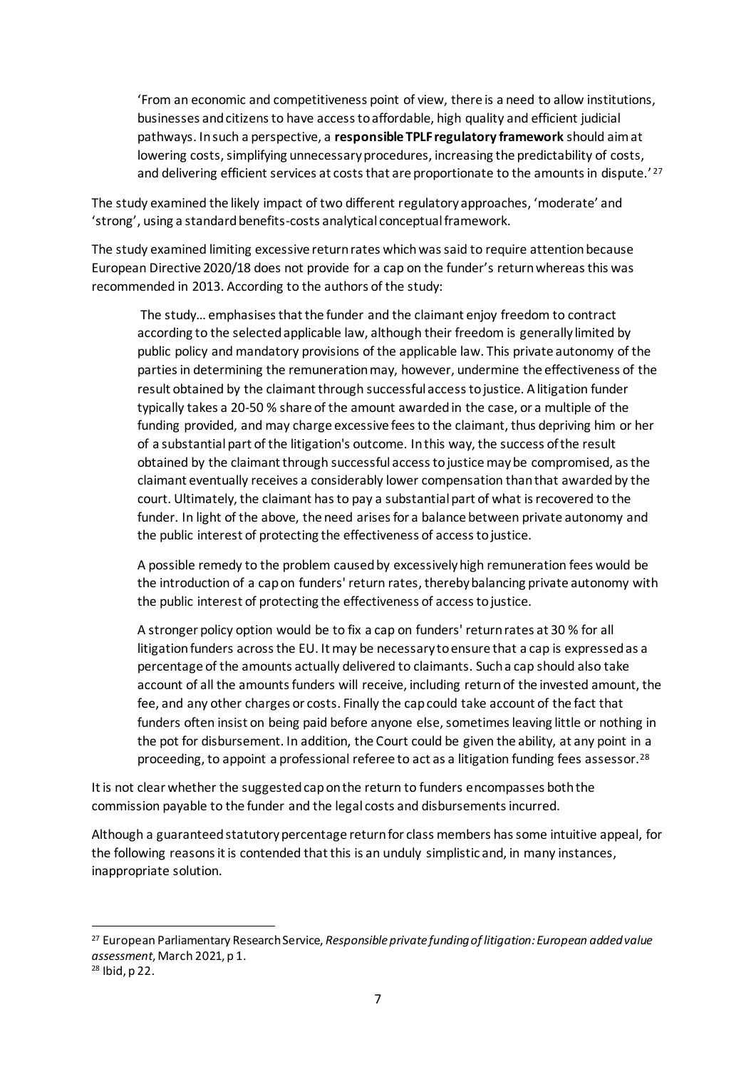'From an economic and competitiveness point of view, there is a need to allow institutions, businesses and citizens to have access to affordable, high quality and efficient judicial pathways. In such a perspective, a **responsible TPLF regulatory framework** should aim at lowering costs, simplifying unnecessary procedures, increasing the predictability of costs, and delivering efficient services at costs that are proportionate to the amounts in dispute.<sup>'27</sup>

The study examined the likely impact of two different regulatory approaches, 'moderate' and 'strong', using a standard benefits-costs analytical conceptual framework.

The study examined limiting excessive return rates which was said to require attention because European Directive 2020/18 does not provide for a cap on the funder's return whereas this was recommended in 2013. According to the authors of the study:

The study… emphasises that the funder and the claimant enjoy freedom to contract according to the selected applicable law, although their freedom is generally limited by public policy and mandatory provisions of the applicable law. This private autonomy of the parties in determining the remuneration may, however, undermine the effectiveness of the result obtained by the claimant through successful access to justice. A litigation funder typically takes a 20-50 % share of the amount awarded in the case, or a multiple of the funding provided, and may charge excessive fees to the claimant, thus depriving him or her of a substantial part of the litigation's outcome. In this way, the success of the result obtained by the claimant through successful access to justice may be compromised, as the claimant eventually receives a considerably lower compensation than that awarded by the court. Ultimately, the claimant has to pay a substantial part of what is recovered to the funder. In light of the above, the need arises for a balance between private autonomy and the public interest of protecting the effectiveness of access to justice.

A possible remedy to the problem caused by excessively high remuneration fees would be the introduction of a cap on funders' return rates, thereby balancing private autonomy with the public interest of protecting the effectiveness of access to justice.

A stronger policy option would be to fix a cap on funders' return rates at 30 % for all litigation funders across the EU. It may be necessary to ensure that a cap is expressed as a percentage of the amounts actually delivered to claimants. Such a cap should also take account of all the amounts funders will receive, including return of the invested amount, the fee, and any other charges or costs. Finally the cap could take account of the fact that funders often insist on being paid before anyone else, sometimes leaving little or nothing in the pot for disbursement. In addition, the Court could be given the ability, at any point in a proceeding, to appoint a professional referee to act as a litigation funding fees assessor.<sup>28</sup>

It is not clear whether the suggested cap on the return to funders encompasses both the commission payable to the funder and the legal costs and disbursements incurred.

Although a guaranteed statutory percentage return for class members has some intuitive appeal, for the following reasons it is contended that this is an unduly simplistic and, in many instances, inappropriate solution.

<sup>27</sup> European Parliamentary Research Service, *Responsible private funding of litigation: European added value assessment*, March 2021, p 1.

<sup>28</sup> Ibid, p 22.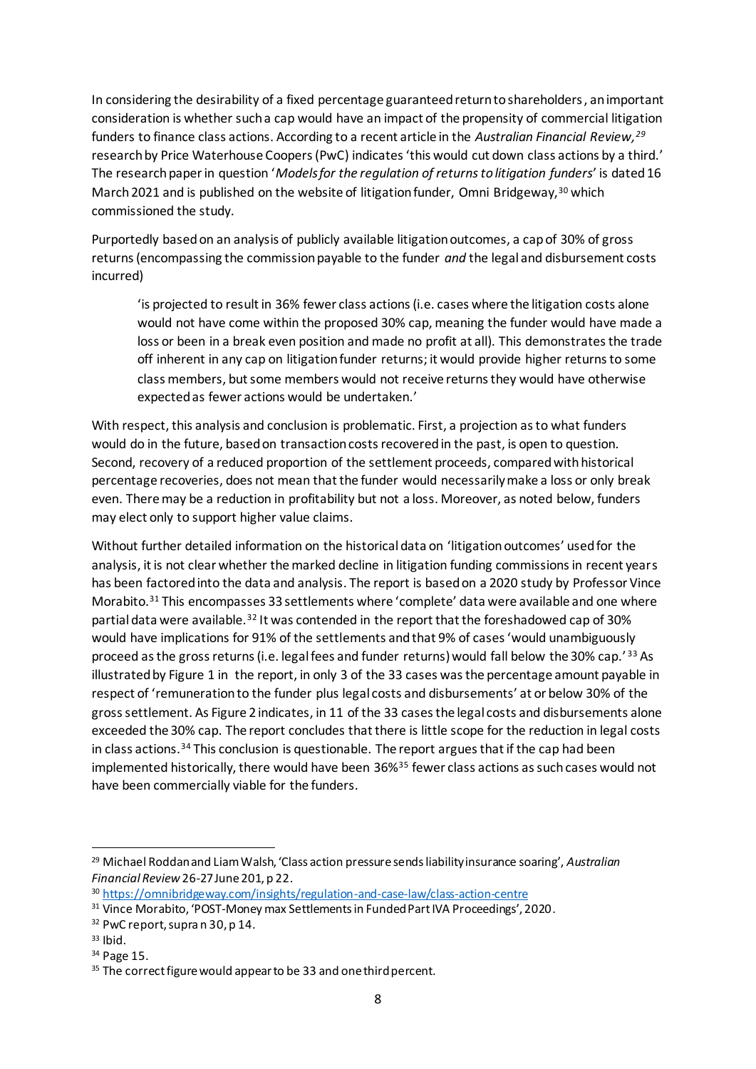In considering the desirability of a fixed percentage guaranteed return to shareholders, an important consideration is whether such a cap would have an impact of the propensity of commercial litigation funders to finance class actions. According to a recent article in the *Australian Financial Review, 29* research by Price Waterhouse Coopers (PwC) indicates 'this would cut down class actions by a third.' The research paper in question '*Models for the regulation of returns to litigation funders*' is dated 16 March 2021 and is published on the website of litigation funder, Omni Bridgeway,<sup>30</sup> which commissioned the study.

Purportedly based on an analysis of publicly available litigation outcomes, a cap of 30% of gross returns (encompassing the commission payable to the funder *and* the legal and disbursement costs incurred)

'is projected to result in 36% fewer class actions (i.e. cases where the litigation costs alone would not have come within the proposed 30% cap, meaning the funder would have made a loss or been in a break even position and made no profit at all). This demonstrates the trade off inherent in any cap on litigation funder returns; it would provide higher returns to some class members, but some members would not receive returns they would have otherwise expected as fewer actions would be undertaken.'

With respect, this analysis and conclusion is problematic. First, a projection as to what funders would do in the future, based on transaction costs recovered in the past, is open to question. Second, recovery of a reduced proportion of the settlement proceeds, compared with historical percentage recoveries, does not mean that the funder would necessarily make a loss or only break even. There may be a reduction in profitability but not a loss. Moreover, as noted below, funders may elect only to support higher value claims.

Without further detailed information on the historical data on 'litigation outcomes' used for the analysis, it is not clear whether the marked decline in litigation funding commissions in recent years has been factored into the data and analysis. The report is based on a 2020 study by Professor Vince Morabito.<sup>31</sup> This encompasses 33 settlements where 'complete' data were available and one where partial data were available.<sup>32</sup> It was contended in the report that the foreshadowed cap of 30% would have implications for 91% of the settlements and that 9% of cases 'would unambiguously proceed as the gross returns (i.e. legal fees and funder returns) would fall below the 30% cap.' <sup>33</sup> As illustrated by Figure 1 in the report, in only 3 of the 33 cases was the percentage amount payable in respect of 'remuneration to the funder plus legal costs and disbursements' at or below 30% of the gross settlement. As Figure 2 indicates, in 11 of the 33 cases the legal costs and disbursements alone exceeded the 30% cap. The report concludes that there is little scope for the reduction in legal costs in class actions.<sup>34</sup> This conclusion is questionable. The report argues that if the cap had been implemented historically, there would have been 36%<sup>35</sup> fewer class actions as such cases would not have been commercially viable for the funders.

<sup>29</sup> Michael Roddan and Liam Walsh, 'Class action pressure sends liability insurance soaring', *Australian Financial Review* 26-27 June 201, p 22.

<sup>30</sup> [https://omnibridgeway.com/insights/regulation-and-case-law/class-action-centre](about:blank)

<sup>&</sup>lt;sup>31</sup> Vince Morabito, 'POST-Money max Settlements in Funded Part IVA Proceedings', 2020.

<sup>32</sup> PwC report, supra n 30, p 14.

<sup>33</sup> Ibid.

<sup>34</sup> Page 15.

<sup>&</sup>lt;sup>35</sup> The correct figure would appear to be 33 and one third percent.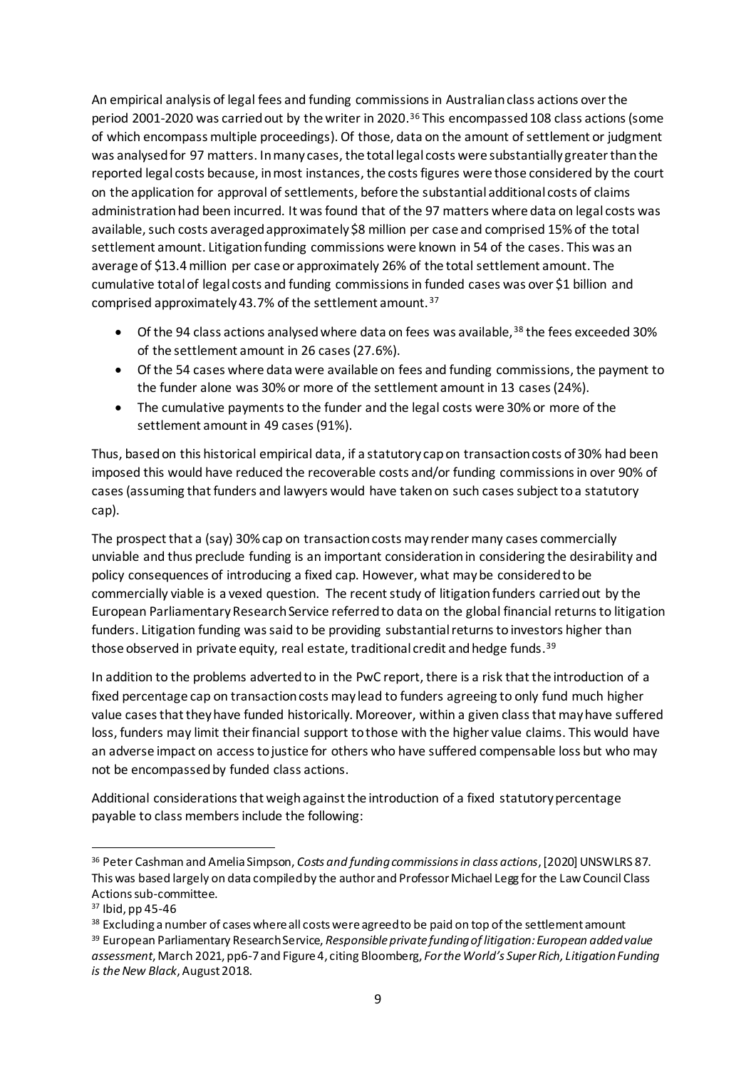An empirical analysis of legal fees and funding commissions in Australian class actions over the period 2001-2020 was carried out by the writer in 2020. <sup>36</sup> This encompassed 108 class actions (some of which encompass multiple proceedings). Of those, data on the amount of settlement or judgment was analysed for 97 matters. In many cases, the total legal costs were substantially greater than the reported legal costs because, in most instances, the costs figures were those considered by the court on the application for approval of settlements, before the substantial additional costs of claims administration had been incurred. It was found that of the 97 matters where data on legal costs was available, such costs averaged approximately \$8 million per case and comprised 15% of the total settlement amount. Litigation funding commissions were known in 54 of the cases. This was an average of \$13.4 million per case or approximately 26% of the total settlement amount. The cumulative total of legal costs and funding commissions in funded cases was over \$1 billion and comprised approximately 43.7% of the settlement amount.<sup>37</sup>

- Of the 94 class actions analysed where data on fees was available,  $38$  the fees exceeded 30% of the settlement amount in 26 cases(27.6%).
- Of the 54 cases where data were available on fees and funding commissions, the payment to the funder alone was 30% or more of the settlement amount in 13 cases(24%).
- The cumulative payments to the funder and the legal costs were 30% or more of the settlement amount in 49 cases (91%).

Thus, basedon this historical empirical data, if a statutory cap on transaction costs of 30% had been imposed this would have reduced the recoverable costs and/or funding commissions in over 90% of cases(assuming that funders and lawyers would have taken on such casessubject to a statutory cap).

The prospect that a (say) 30% cap on transaction costs may render many cases commercially unviable and thus preclude funding is an important consideration in considering the desirability and policy consequences of introducing a fixed cap. However, what may be considered to be commercially viable is a vexed question. The recent study of litigation funders carried out by the European Parliamentary Research Service referred to data on the global financial returns to litigation funders. Litigation funding was said to be providing substantial returns to investors higher than those observed in private equity, real estate, traditional credit and hedge funds. 39

In addition to the problems adverted to in the PwC report, there is a risk that the introduction of a fixed percentage cap on transaction costs may lead to funders agreeing to only fund much higher value cases that they have funded historically. Moreover, within a given class that may have suffered loss, funders may limit their financial support to those with the higher value claims. This would have an adverse impact on access to justice for others who have suffered compensable loss but who may not be encompassed by funded class actions.

Additional considerations that weigh against the introduction of a fixed statutory percentage payable to class members include the following:

<sup>36</sup> Peter Cashman and Amelia Simpson, *Costs and funding commissions in class actions*, [2020] UNSWLRS 87. This was based largely on data compiled by the author and Professor Michael Legg for the Law Council Class Actions sub-committee.

<sup>37</sup> Ibid, pp 45-46

<sup>38</sup> Excluding a number of cases where all costs were agreed to be paid on top of the settlement amount

<sup>39</sup> European Parliamentary Research Service, *Responsible private funding of litigation: European added value assessment*, March 2021, pp6-7 and Figure 4, citing Bloomberg, *For the World's Super Rich, Litigation Funding is the New Black*, August 2018.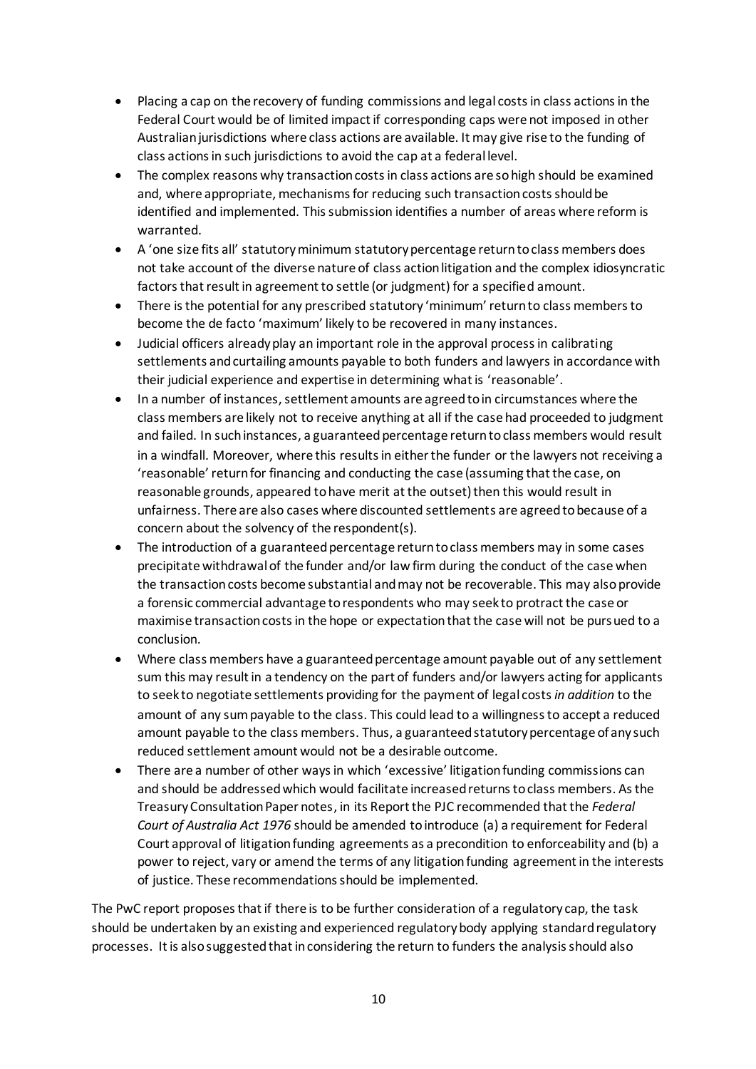- Placing a cap on the recovery of funding commissions and legal costs in class actions in the Federal Court would be of limited impact if corresponding caps were not imposed in other Australian jurisdictions where class actions are available. It may give rise to the funding of class actions in such jurisdictions to avoid the cap at a federal level.
- The complex reasons why transaction costs in class actions are so high should be examined and, where appropriate, mechanisms for reducing such transaction costs should be identified and implemented. This submission identifies a number of areas where reform is warranted.
- A 'one size fits all' statutory minimum statutory percentage return to class members does not take account of the diverse nature of class action litigation and the complex idiosyncratic factors that result in agreement to settle (or judgment) for a specified amount.
- There is the potential for any prescribed statutory 'minimum' return to class members to become the de facto 'maximum' likely to be recovered in many instances.
- Judicial officers already play an important role in the approval process in calibrating settlements and curtailing amounts payable to both funders and lawyers in accordance with their judicial experience and expertise in determining what is 'reasonable'.
- In a number of instances, settlement amounts are agreed to in circumstances where the class members are likely not to receive anything at all if the case had proceeded to judgment and failed. In such instances, a guaranteed percentage return to class members would result in a windfall. Moreover, where this results in either the funder or the lawyers not receiving a 'reasonable' return for financing and conducting the case (assuming that the case, on reasonable grounds, appeared to have merit at the outset) then this would result in unfairness. There are also cases where discounted settlements are agreed to because of a concern about the solvency of the respondent(s).
- The introduction of a guaranteed percentage return to class members may in some cases precipitate withdrawal of the funder and/or law firm during the conduct of the case when the transaction costs become substantial and may not be recoverable. This may also provide a forensic commercial advantage to respondents who may seek to protract the case or maximise transaction costs in the hope or expectation that the case will not be pursued to a conclusion.
- Where class members have a guaranteed percentage amount payable out of any settlement sum this may result in a tendency on the part of funders and/or lawyers acting for applicants to seek to negotiate settlements providing for the payment of legal costs *in addition* to the amount of any sum payable to the class. This could lead to a willingness to accept a reduced amount payable to the class members. Thus, a guaranteed statutory percentage of any such reduced settlement amount would not be a desirable outcome.
- There are a number of other ways in which 'excessive' litigation funding commissions can and should be addressed which would facilitate increased returns to class members. As the Treasury Consultation Paper notes, in its Report the PJC recommended that the *Federal Court of Australia Act 1976* should be amended to introduce (a) a requirement for Federal Court approval of litigation funding agreements as a precondition to enforceability and (b) a power to reject, vary or amend the terms of any litigation funding agreement in the interests of justice. These recommendations should be implemented.

The PwC report proposes that if there is to be further consideration of a regulatory cap, the task should be undertaken by an existing and experienced regulatory body applying standard regulatory processes. It is also suggested that in considering the return to funders the analysis should also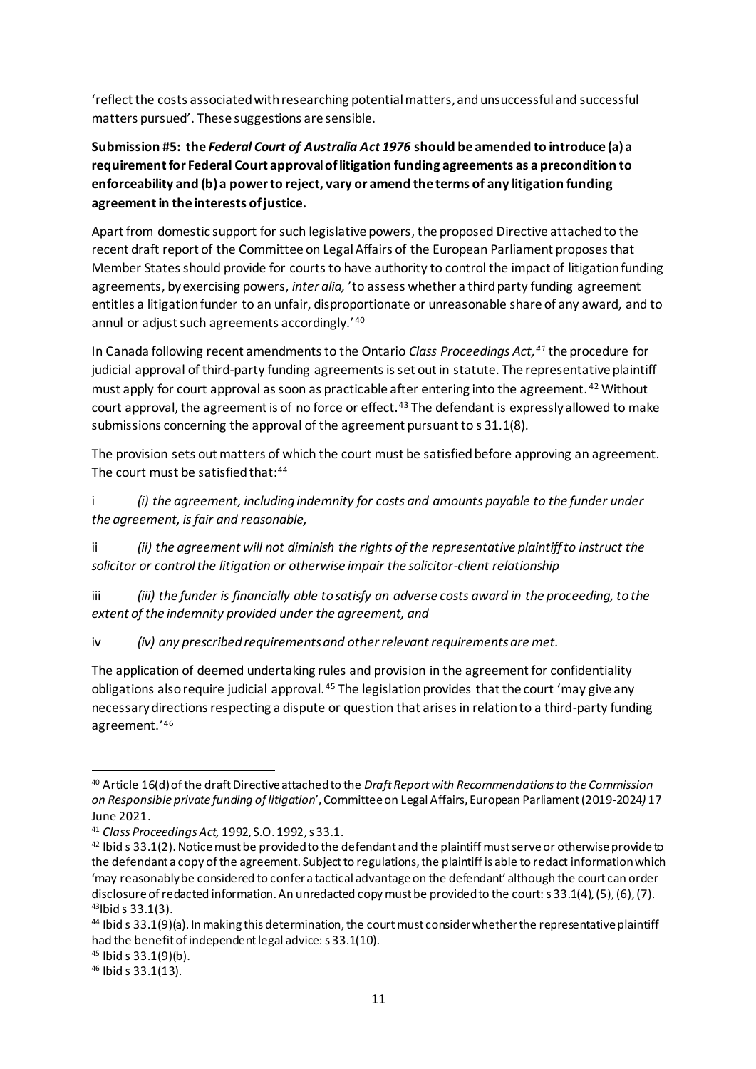'reflect the costs associated with researching potential matters, and unsuccessful and successful matters pursued'. These suggestions are sensible.

# **Submission #5: the** *Federal Court of Australia Act 1976* **should be amended to introduce (a) a requirement for Federal Court approval of litigation funding agreements as a precondition to enforceability and (b) a power to reject, vary or amend the terms of any litigation funding agreement in the interests of justice.**

Apart from domestic support for such legislative powers, the proposed Directive attached to the recent draft report of the Committee on Legal Affairs of the European Parliament proposes that Member States should provide for courts to have authority to control the impact of litigation funding agreements, by exercising powers, *inter alia,* 'to assess whether a third party funding agreement entitles a litigation funder to an unfair, disproportionate or unreasonable share of any award, and to annul or adjust such agreements accordingly.'<sup>40</sup>

In Canada following recent amendments to the Ontario *Class Proceedings Act,<sup>41</sup>* the procedure for judicial approval of third-party funding agreements is set out in statute. The representative plaintiff must apply for court approval as soon as practicable after entering into the agreement. <sup>42</sup> Without court approval, the agreement is of no force or effect.<sup>43</sup> The defendant is expressly allowed to make submissions concerning the approval of the agreement pursuant to s 31.1(8).

The provision sets out matters of which the court must be satisfied before approving an agreement. The court must be satisfied that:<sup>44</sup>

i *(i) the agreement, including indemnity for costs and amounts payable to the funder under the agreement, is fair and reasonable,* 

ii *(ii) the agreement will not diminish the rights of the representative plaintiff to instruct the solicitor or control the litigation or otherwise impair the solicitor-client relationship* 

iii *(iii) the funder is financially able to satisfy an adverse costs award in the proceeding, to the extent of the indemnity provided under the agreement, and* 

iv *(iv) any prescribed requirements and other relevant requirements are met.* 

The application of deemed undertaking rules and provision in the agreement for confidentiality obligations also require judicial approval.<sup>45</sup> The legislation provides that the court 'may give any necessary directions respecting a dispute or question that arises in relation to a third-party funding agreement.'<sup>46</sup>

<sup>40</sup> Article 16(d) of the draft Directive attached to the *Draft Report with Recommendations to the Commission on Responsible private funding of litigation*', Committee on Legal Affairs, European Parliament (2019-2024*)* 17 June 2021.

<sup>41</sup> *Class Proceedings Act,* 1992, S.O. 1992, s 33.1.

 $42$  Ibid s 33.1(2). Notice must be provided to the defendant and the plaintiff must serve or otherwise provide to the defendant a copy of the agreement. Subject to regulations, the plaintiff is able to redact information which 'may reasonably be considered to confer a tactical advantage on the defendant' although the court can order disclosure of redacted information. An unredacted copy must be provided to the court: s 33.1(4), (5), (6), (7). <sup>43</sup>Ibid s 33.1(3).

<sup>44</sup> Ibid s 33.1(9)(a). In making this determination, the court must consider whether the representative plaintiff had the benefit of independent legal advice: s 33.1(10).

<sup>45</sup> Ibid s 33.1(9)(b).

<sup>46</sup> Ibid s 33.1(13).